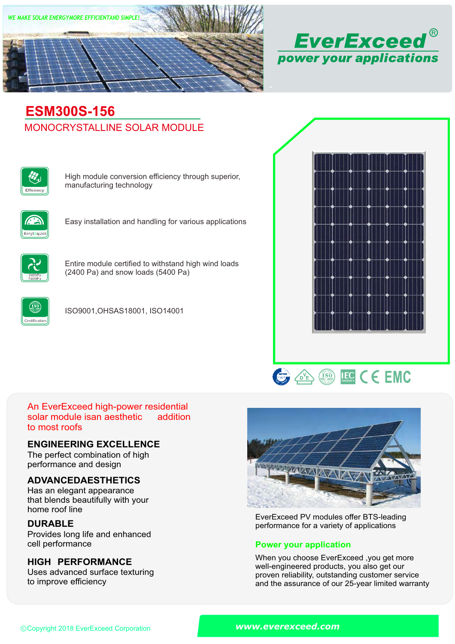



# MONOCRYSTALLINE SOLAR MODULE **ESM300S-156**



High module conversion efficiency through superior, manufacturing technology



Easy installation and handling for various applications



Entire module certified to withstand high wind loads (2400 Pa) and snow loads (5400 Pa)



ISO9001,OHSAS18001, ISO14001





#### An EverExceed high-power residential solar module isan aesthetic to most roofs addition

### **ENGINEERING EXCELLENCE**

The perfect combination of high performance and design

## **ADVANCEDAESTHETICS**

Has an elegant appearance that blends beautifully with your home roof line

## **DURABLE**

Provides long life and enhanced<br>cell performance

### **HIGH PERFORMANCE**

Uses advanced surface texturing to improve efficiency



EverExceed PV modules offer BTS-leading performance for a variety of applications

### **Power your application**

When you choose EverExceed ,you get more well-engineered products, you also get our proven reliability, outstanding customer service and the assurance of our 25-year limited warranty